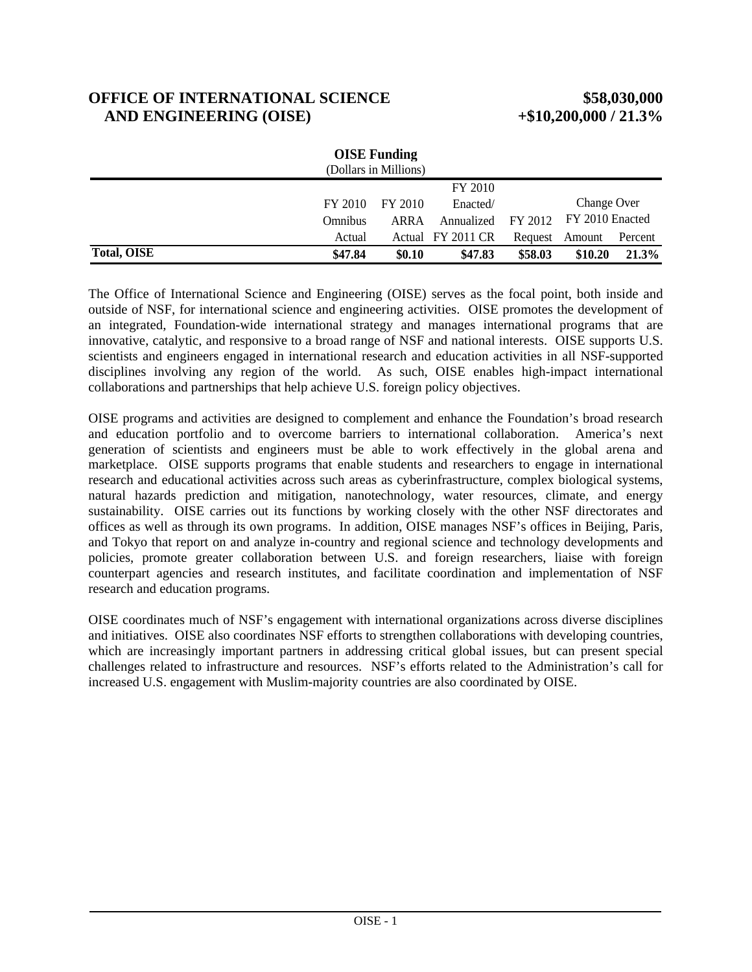# **OFFICE OF INTERNATIONAL SCIENCE \$58,030,000 AND ENGINEERING (OISE) +\$10,200,000 / 21.3%**

| <b>OISE</b> Funding<br>(Dollars in Millions) |         |         |                   |         |                 |         |
|----------------------------------------------|---------|---------|-------------------|---------|-----------------|---------|
|                                              |         |         | FY 2010           |         |                 |         |
|                                              | FY 2010 | FY 2010 | Enacted/          |         | Change Over     |         |
|                                              | Omnibus | ARRA    | Annualized        | FY 2012 | FY 2010 Enacted |         |
|                                              | Actual  |         | Actual FY 2011 CR | Request | Amount          | Percent |
| <b>Total, OISE</b>                           | \$47.84 | \$0.10  | \$47.83           | \$58.03 | \$10.20         | 21.3%   |

The Office of International Science and Engineering (OISE) serves as the focal point, both inside and outside of NSF, for international science and engineering activities. OISE promotes the development of an integrated, Foundation-wide international strategy and manages international programs that are innovative, catalytic, and responsive to a broad range of NSF and national interests. OISE supports U.S. scientists and engineers engaged in international research and education activities in all NSF-supported disciplines involving any region of the world. As such, OISE enables high-impact international collaborations and partnerships that help achieve U.S. foreign policy objectives.

OISE programs and activities are designed to complement and enhance the Foundation's broad research and education portfolio and to overcome barriers to international collaboration. America's next generation of scientists and engineers must be able to work effectively in the global arena and marketplace. OISE supports programs that enable students and researchers to engage in international research and educational activities across such areas as cyberinfrastructure, complex biological systems, natural hazards prediction and mitigation, nanotechnology, water resources, climate, and energy sustainability. OISE carries out its functions by working closely with the other NSF directorates and offices as well as through its own programs. In addition, OISE manages NSF's offices in Beijing, Paris, and Tokyo that report on and analyze in-country and regional science and technology developments and policies, promote greater collaboration between U.S. and foreign researchers, liaise with foreign counterpart agencies and research institutes, and facilitate coordination and implementation of NSF research and education programs.

OISE coordinates much of NSF's engagement with international organizations across diverse disciplines and initiatives. OISE also coordinates NSF efforts to strengthen collaborations with developing countries, which are increasingly important partners in addressing critical global issues, but can present special challenges related to infrastructure and resources. NSF's efforts related to the Administration's call for increased U.S. engagement with Muslim-majority countries are also coordinated by OISE.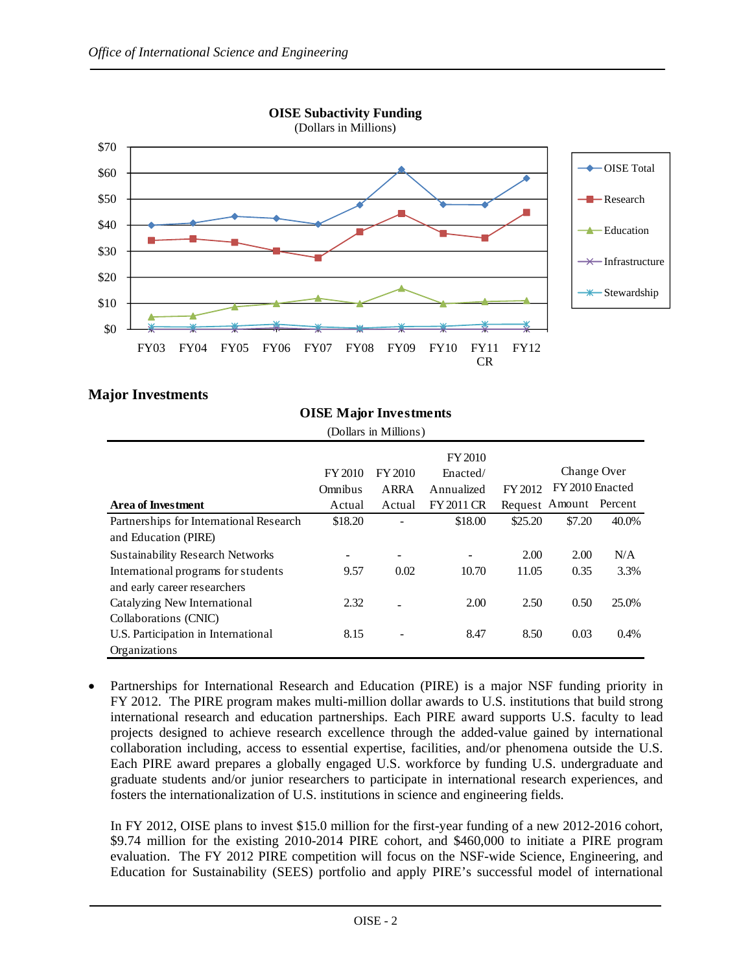

# **Major Investments**

| (Dollars in Millions)                   |                |             |                          |         |                        |       |
|-----------------------------------------|----------------|-------------|--------------------------|---------|------------------------|-------|
|                                         |                |             | FY 2010                  |         |                        |       |
|                                         | <b>FY 2010</b> | FY 2010     | Enacted/                 |         | Change Over            |       |
|                                         | Omnibus        | <b>ARRA</b> | Annualized               | FY 2012 | FY 2010 Enacted        |       |
| <b>Area of Investment</b>               | Actual         | Actual      | <b>FY 2011 CR</b>        |         | Request Amount Percent |       |
| Partnerships for International Research | \$18.20        |             | \$18.00                  | \$25.20 | \$7.20                 | 40.0% |
| and Education (PIRE)                    |                |             |                          |         |                        |       |
| <b>Sustainability Research Networks</b> | -              | -           | $\overline{\phantom{a}}$ | 2.00    | 2.00                   | N/A   |
| International programs for students     | 9.57           | 0.02        | 10.70                    | 11.05   | 0.35                   | 3.3%  |
| and early career researchers            |                |             |                          |         |                        |       |
| Catalyzing New International            | 2.32           |             | 2.00                     | 2.50    | 0.50                   | 25.0% |
| Collaborations (CNIC)                   |                |             |                          |         |                        |       |
| U.S. Participation in International     | 8.15           |             | 8.47                     | 8.50    | 0.03                   | 0.4%  |
| Organizations                           |                |             |                          |         |                        |       |

 Partnerships for International Research and Education (PIRE) is a major NSF funding priority in FY 2012. The PIRE program makes multi-million dollar awards to U.S. institutions that build strong international research and education partnerships. Each PIRE award supports U.S. faculty to lead projects designed to achieve research excellence through the added-value gained by international collaboration including, access to essential expertise, facilities, and/or phenomena outside the U.S. Each PIRE award prepares a globally engaged U.S. workforce by funding U.S. undergraduate and graduate students and/or junior researchers to participate in international research experiences, and fosters the internationalization of U.S. institutions in science and engineering fields.

In FY 2012, OISE plans to invest \$15.0 million for the first-year funding of a new 2012-2016 cohort, \$9.74 million for the existing 2010-2014 PIRE cohort, and \$460,000 to initiate a PIRE program evaluation. The FY 2012 PIRE competition will focus on the NSF-wide Science, Engineering, and Education for Sustainability (SEES) portfolio and apply PIRE's successful model of international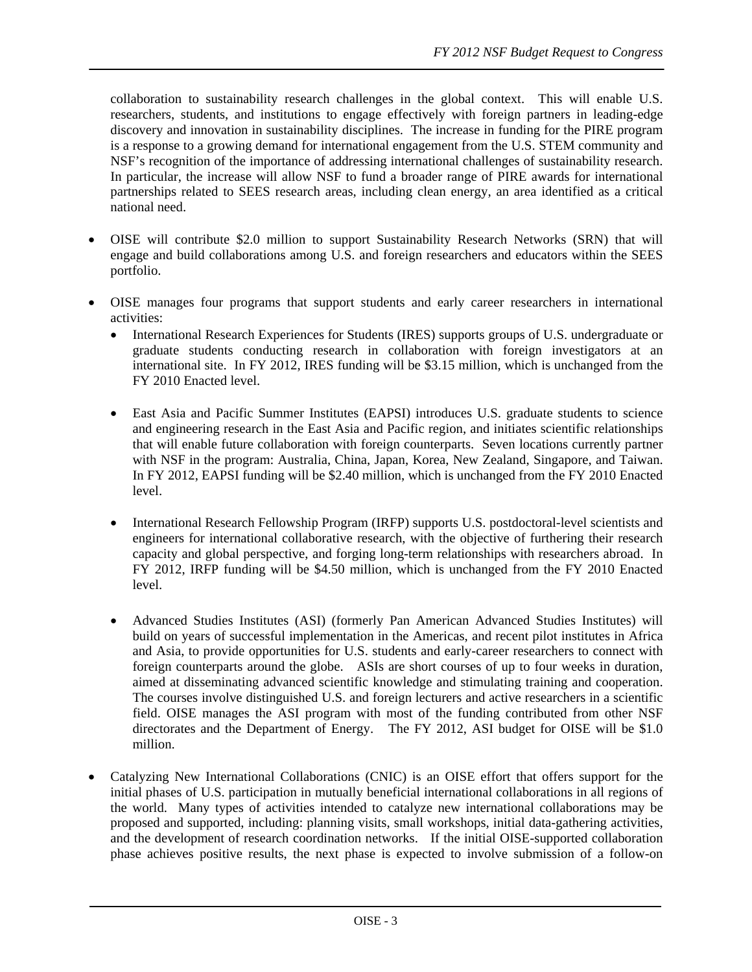collaboration to sustainability research challenges in the global context. This will enable U.S. researchers, students, and institutions to engage effectively with foreign partners in leading-edge discovery and innovation in sustainability disciplines. The increase in funding for the PIRE program is a response to a growing demand for international engagement from the U.S. STEM community and NSF's recognition of the importance of addressing international challenges of sustainability research. In particular, the increase will allow NSF to fund a broader range of PIRE awards for international partnerships related to SEES research areas, including clean energy, an area identified as a critical national need.

- OISE will contribute \$2.0 million to support Sustainability Research Networks (SRN) that will engage and build collaborations among U.S. and foreign researchers and educators within the SEES portfolio.
- OISE manages four programs that support students and early career researchers in international activities:
	- International Research Experiences for Students (IRES) supports groups of U.S. undergraduate or graduate students conducting research in collaboration with foreign investigators at an international site. In FY 2012, IRES funding will be \$3.15 million, which is unchanged from the FY 2010 Enacted level.
	- East Asia and Pacific Summer Institutes (EAPSI) introduces U.S. graduate students to science and engineering research in the East Asia and Pacific region, and initiates scientific relationships that will enable future collaboration with foreign counterparts. Seven locations currently partner with NSF in the program: Australia, China, Japan, Korea, New Zealand, Singapore, and Taiwan. In FY 2012, EAPSI funding will be \$2.40 million, which is unchanged from the FY 2010 Enacted level.
	- International Research Fellowship Program (IRFP) supports U.S. postdoctoral-level scientists and engineers for international collaborative research, with the objective of furthering their research capacity and global perspective, and forging long-term relationships with researchers abroad. In FY 2012, IRFP funding will be \$4.50 million, which is unchanged from the FY 2010 Enacted level.
	- Advanced Studies Institutes (ASI) (formerly Pan American Advanced Studies Institutes) will build on years of successful implementation in the Americas, and recent pilot institutes in Africa and Asia, to provide opportunities for U.S. students and early-career researchers to connect with foreign counterparts around the globe. ASIs are short courses of up to four weeks in duration, aimed at disseminating advanced scientific knowledge and stimulating training and cooperation. The courses involve distinguished U.S. and foreign lecturers and active researchers in a scientific field. OISE manages the ASI program with most of the funding contributed from other NSF directorates and the Department of Energy. The FY 2012, ASI budget for OISE will be \$1.0 million.
- Catalyzing New International Collaborations (CNIC) is an OISE effort that offers support for the initial phases of U.S. participation in mutually beneficial international collaborations in all regions of the world. Many types of activities intended to catalyze new international collaborations may be proposed and supported, including: planning visits, small workshops, initial data-gathering activities, and the development of research coordination networks. If the initial OISE-supported collaboration phase achieves positive results, the next phase is expected to involve submission of a follow-on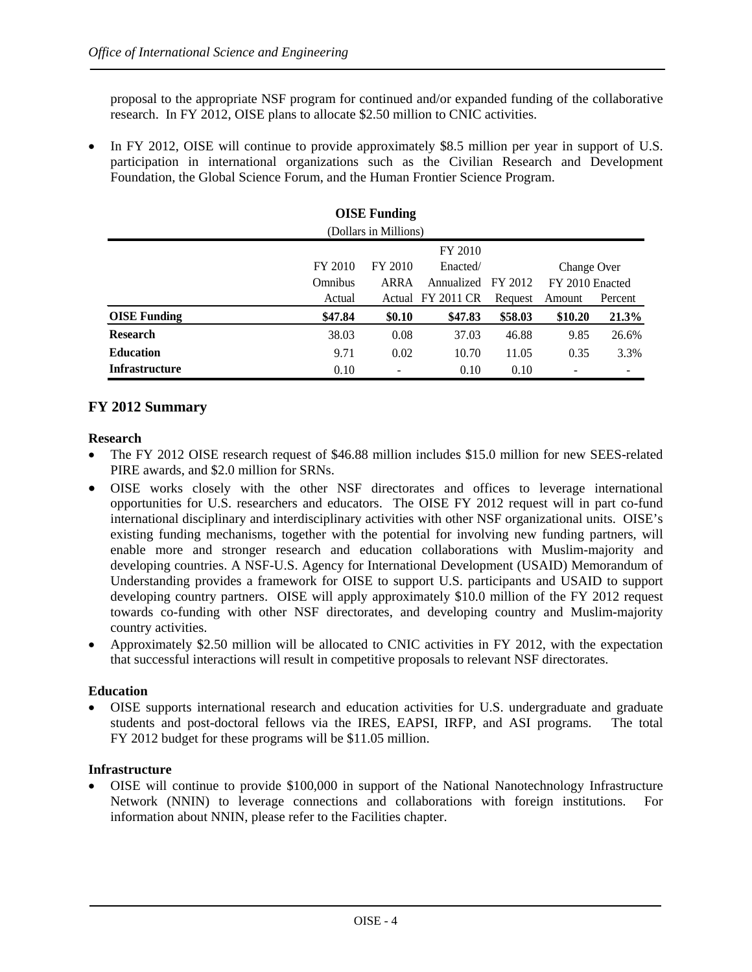proposal to the appropriate NSF program for continued and/or expanded funding of the collaborative research. In FY 2012, OISE plans to allocate \$2.50 million to CNIC activities.

• In FY 2012, OISE will continue to provide approximately \$8.5 million per year in support of U.S. participation in international organizations such as the Civilian Research and Development Foundation, the Global Science Forum, and the Human Frontier Science Program.

| <b>OISE</b> Funding   |         |         |                   |         |                 |                |
|-----------------------|---------|---------|-------------------|---------|-----------------|----------------|
| (Dollars in Millions) |         |         |                   |         |                 |                |
| FY 2010               |         |         |                   |         |                 |                |
|                       | FY 2010 | FY 2010 | Enacted/          |         | Change Over     |                |
|                       | Omnibus | ARRA    | Annualized        | FY 2012 | FY 2010 Enacted |                |
|                       | Actual  |         | Actual FY 2011 CR | Request | Amount          | Percent        |
| <b>OISE Funding</b>   | \$47.84 | \$0.10  | \$47.83           | \$58.03 | \$10.20         | 21.3%          |
| <b>Research</b>       | 38.03   | 0.08    | 37.03             | 46.88   | 9.85            | 26.6%          |
| <b>Education</b>      | 9.71    | 0.02    | 10.70             | 11.05   | 0.35            | 3.3%           |
| <b>Infrastructure</b> | 0.10    |         | 0.10              | 0.10    |                 | $\blacksquare$ |

### **FY 2012 Summary**

#### **Research**

- The FY 2012 OISE research request of \$46.88 million includes \$15.0 million for new SEES-related PIRE awards, and \$2.0 million for SRNs.
- OISE works closely with the other NSF directorates and offices to leverage international opportunities for U.S. researchers and educators. The OISE FY 2012 request will in part co-fund international disciplinary and interdisciplinary activities with other NSF organizational units. OISE's existing funding mechanisms, together with the potential for involving new funding partners, will enable more and stronger research and education collaborations with Muslim-majority and developing countries. A NSF-U.S. Agency for International Development (USAID) Memorandum of Understanding provides a framework for OISE to support U.S. participants and USAID to support developing country partners. OISE will apply approximately \$10.0 million of the FY 2012 request towards co-funding with other NSF directorates, and developing country and Muslim-majority country activities.
- Approximately \$2.50 million will be allocated to CNIC activities in FY 2012, with the expectation that successful interactions will result in competitive proposals to relevant NSF directorates.

#### **Education**

 OISE supports international research and education activities for U.S. undergraduate and graduate students and post-doctoral fellows via the IRES, EAPSI, IRFP, and ASI programs. The total FY 2012 budget for these programs will be \$11.05 million.

#### **Infrastructure**

 OISE will continue to provide \$100,000 in support of the National Nanotechnology Infrastructure Network (NNIN) to leverage connections and collaborations with foreign institutions. For information about NNIN, please refer to the Facilities chapter.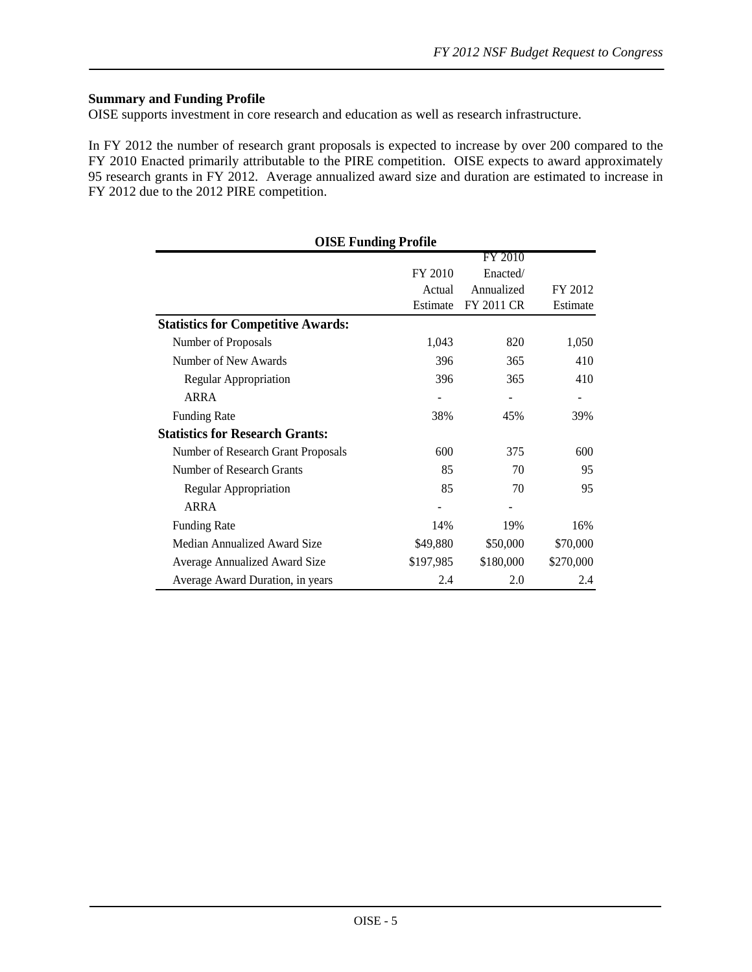## **Summary and Funding Profile**

OISE supports investment in core research and education as well as research infrastructure.

In FY 2012 the number of research grant proposals is expected to increase by over 200 compared to the FY 2010 Enacted primarily attributable to the PIRE competition. OISE expects to award approximately 95 research grants in FY 2012. Average annualized award size and duration are estimated to increase in FY 2012 due to the 2012 PIRE competition.

| <b>OISE Funding Profile</b>               |           |            |           |  |  |  |
|-------------------------------------------|-----------|------------|-----------|--|--|--|
|                                           |           | FY 2010    |           |  |  |  |
|                                           | FY 2010   | Enacted/   |           |  |  |  |
|                                           | Actual    | Annualized | FY 2012   |  |  |  |
|                                           | Estimate  | FY 2011 CR | Estimate  |  |  |  |
| <b>Statistics for Competitive Awards:</b> |           |            |           |  |  |  |
| Number of Proposals                       | 1,043     | 820        | 1,050     |  |  |  |
| Number of New Awards                      | 396       | 365        | 410       |  |  |  |
| Regular Appropriation                     | 396       | 365        | 410       |  |  |  |
| ARRA                                      |           |            |           |  |  |  |
| <b>Funding Rate</b>                       | 38%       | 45%        | 39%       |  |  |  |
| <b>Statistics for Research Grants:</b>    |           |            |           |  |  |  |
| Number of Research Grant Proposals        | 600       | 375        | 600       |  |  |  |
| Number of Research Grants                 | 85        | 70         | 95        |  |  |  |
| Regular Appropriation                     | 85        | 70         | 95        |  |  |  |
| ARRA                                      |           |            |           |  |  |  |
| <b>Funding Rate</b>                       | 14%       | 19%        | 16%       |  |  |  |
| Median Annualized Award Size              | \$49,880  | \$50,000   | \$70,000  |  |  |  |
| Average Annualized Award Size             | \$197,985 | \$180,000  | \$270,000 |  |  |  |
| Average Award Duration, in years          | 2.4       | 2.0        | 2.4       |  |  |  |